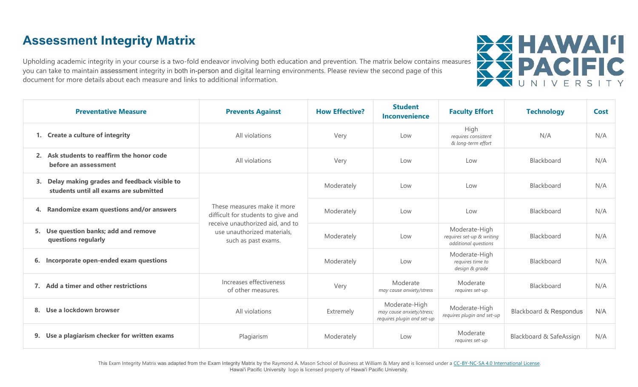# **Assessment Integrity Matrix**

Upholding academic integrity in your course is a two-fold endeavor involving both education and prevention. The matrix below contains measures<br>you can take to maintain assessment integrity in both in-person and digital lea you can take to maintain assessment integrity in both in-person and digital learning environments. Please review the second page of this document for more details about each measure and links to additional information.